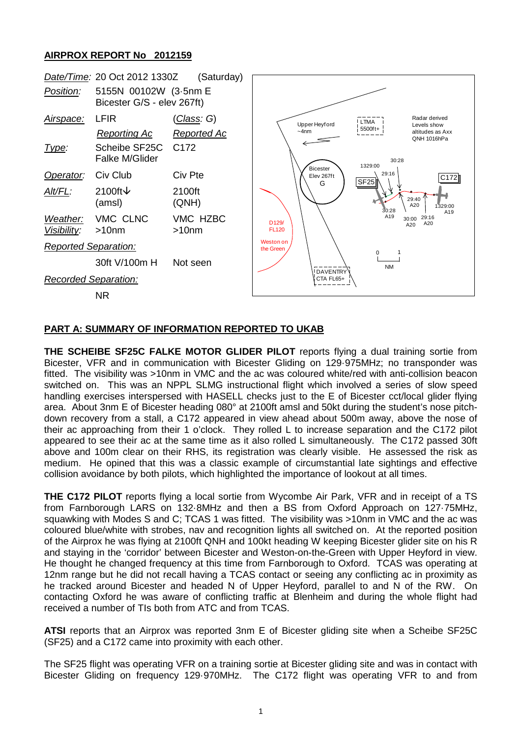## **AIRPROX REPORT No 2012159**



## **PART A: SUMMARY OF INFORMATION REPORTED TO UKAB**

**THE SCHEIBE SF25C FALKE MOTOR GLIDER PILOT** reports flying a dual training sortie from Bicester, VFR and in communication with Bicester Gliding on 129·975MHz; no transponder was fitted. The visibility was >10nm in VMC and the ac was coloured white/red with anti-collision beacon switched on. This was an NPPL SLMG instructional flight which involved a series of slow speed handling exercises interspersed with HASELL checks just to the E of Bicester cct/local glider flying area. About 3nm E of Bicester heading 080° at 2100ft amsl and 50kt during the student's nose pitchdown recovery from a stall, a C172 appeared in view ahead about 500m away, above the nose of their ac approaching from their 1 o'clock. They rolled L to increase separation and the C172 pilot appeared to see their ac at the same time as it also rolled L simultaneously. The C172 passed 30ft above and 100m clear on their RHS, its registration was clearly visible. He assessed the risk as medium. He opined that this was a classic example of circumstantial late sightings and effective collision avoidance by both pilots, which highlighted the importance of lookout at all times.

**THE C172 PILOT** reports flying a local sortie from Wycombe Air Park, VFR and in receipt of a TS from Farnborough LARS on 132·8MHz and then a BS from Oxford Approach on 127·75MHz, squawking with Modes S and C; TCAS 1 was fitted. The visibility was >10nm in VMC and the ac was coloured blue/white with strobes, nav and recognition lights all switched on. At the reported position of the Airprox he was flying at 2100ft QNH and 100kt heading W keeping Bicester glider site on his R and staying in the 'corridor' between Bicester and Weston-on-the-Green with Upper Heyford in view. He thought he changed frequency at this time from Farnborough to Oxford. TCAS was operating at 12nm range but he did not recall having a TCAS contact or seeing any conflicting ac in proximity as he tracked around Bicester and headed N of Upper Heyford, parallel to and N of the RW. On contacting Oxford he was aware of conflicting traffic at Blenheim and during the whole flight had received a number of TIs both from ATC and from TCAS.

**ATSI** reports that an Airprox was reported 3nm E of Bicester gliding site when a Scheibe SF25C (SF25) and a C172 came into proximity with each other.

The SF25 flight was operating VFR on a training sortie at Bicester gliding site and was in contact with Bicester Gliding on frequency 129·970MHz. The C172 flight was operating VFR to and from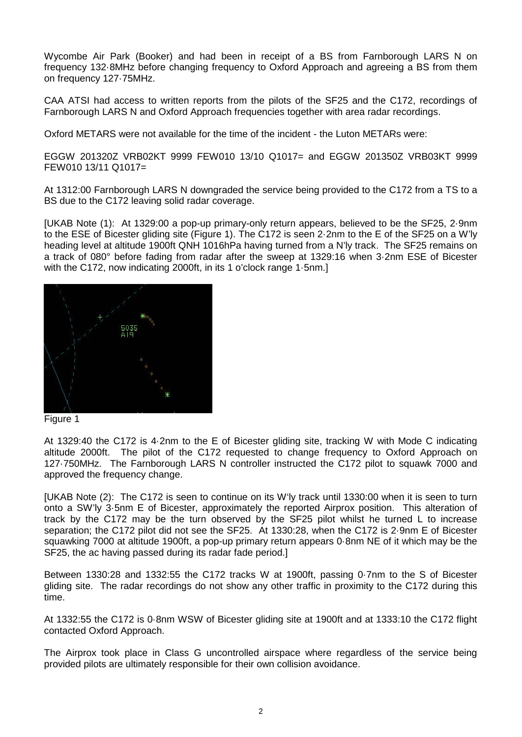Wycombe Air Park (Booker) and had been in receipt of a BS from Farnborough LARS N on frequency 132·8MHz before changing frequency to Oxford Approach and agreeing a BS from them on frequency 127·75MHz.

CAA ATSI had access to written reports from the pilots of the SF25 and the C172, recordings of Farnborough LARS N and Oxford Approach frequencies together with area radar recordings.

Oxford METARS were not available for the time of the incident - the Luton METARs were:

EGGW 201320Z VRB02KT 9999 FEW010 13/10 Q1017= and EGGW 201350Z VRB03KT 9999 FEW010 13/11 Q1017=

At 1312:00 Farnborough LARS N downgraded the service being provided to the C172 from a TS to a BS due to the C172 leaving solid radar coverage.

[UKAB Note (1): At 1329:00 a pop-up primary-only return appears, believed to be the SF25, 2·9nm to the ESE of Bicester gliding site (Figure 1). The C172 is seen 2·2nm to the E of the SF25 on a W'ly heading level at altitude 1900ft QNH 1016hPa having turned from a N'ly track. The SF25 remains on a track of 080° before fading from radar after the sweep at 1329:16 when 3·2nm ESE of Bicester with the C172, now indicating 2000ft, in its 1 o'clock range 1·5nm.]



At 1329:40 the C172 is 4·2nm to the E of Bicester gliding site, tracking W with Mode C indicating altitude 2000ft. The pilot of the C172 requested to change frequency to Oxford Approach on 127·750MHz. The Farnborough LARS N controller instructed the C172 pilot to squawk 7000 and approved the frequency change.

[UKAB Note (2): The C172 is seen to continue on its W'ly track until 1330:00 when it is seen to turn onto a SW'ly 3·5nm E of Bicester, approximately the reported Airprox position. This alteration of track by the C172 may be the turn observed by the SF25 pilot whilst he turned L to increase separation; the C172 pilot did not see the SF25. At 1330:28, when the C172 is 2·9nm E of Bicester squawking 7000 at altitude 1900ft, a pop-up primary return appears 0·8nm NE of it which may be the SF25, the ac having passed during its radar fade period.]

Between 1330:28 and 1332:55 the C172 tracks W at 1900ft, passing 0·7nm to the S of Bicester gliding site. The radar recordings do not show any other traffic in proximity to the C172 during this time.

At 1332:55 the C172 is 0·8nm WSW of Bicester gliding site at 1900ft and at 1333:10 the C172 flight contacted Oxford Approach.

The Airprox took place in Class G uncontrolled airspace where regardless of the service being provided pilots are ultimately responsible for their own collision avoidance.